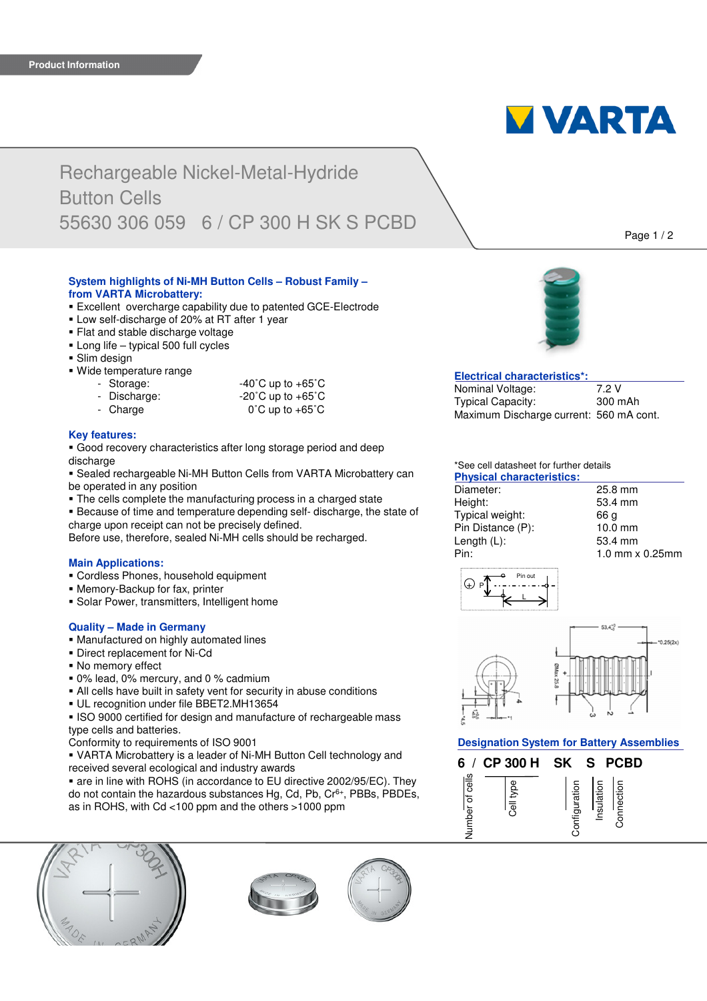

# Rechargeable Nickel-Metal-Hydride Button Cells 55630 306 059 6 / CP 300 H SK S PCBD

**System highlights of Ni-MH Button Cells – Robust Family – from VARTA Microbattery:**

- Excellent overcharge capability due to patented GCE-Electrode
- Low self-discharge of 20% at RT after 1 year
- **Flat and stable discharge voltage**
- **Long life typical 500 full cycles**
- **Slim design**
- Wide temperature range
	- Storage:
	- Discharge:
	- Charge

| $-40^{\circ}$ C up to $+65^{\circ}$ C |
|---------------------------------------|
| $-20^{\circ}$ C up to $+65^{\circ}$ C |
| $0^\circ$ C up to +65 $^\circ$ C      |

# **Key features:**

 Good recovery characteristics after long storage period and deep discharge

 Sealed rechargeable Ni-MH Button Cells from VARTA Microbattery can be operated in any position

- The cells complete the manufacturing process in a charged state
- Because of time and temperature depending self- discharge, the state of charge upon receipt can not be precisely defined.

Before use, therefore, sealed Ni-MH cells should be recharged.

### **Main Applications:**

- Cordless Phones, household equipment
- Memory-Backup for fax, printer
- **Solar Power, transmitters, Intelligent home**

# **Quality – Made in Germany**

- Manufactured on highly automated lines
- Direct replacement for Ni-Cd
- No memory effect
- 0% lead, 0% mercury, and 0 % cadmium
- All cells have built in safety vent for security in abuse conditions
- UL recognition under file BBET2.MH13654

**ISO 9000 certified for design and manufacture of rechargeable mass** type cells and batteries.

Conformity to requirements of ISO 9001

 VARTA Microbattery is a leader of Ni-MH Button Cell technology and received several ecological and industry awards

 are in line with ROHS (in accordance to EU directive 2002/95/EC). They do not contain the hazardous substances Hg, Cd, Pb, Cr6+, PBBs, PBDEs, as in ROHS, with Cd <100 ppm and the others >1000 ppm









# **Electrical characteristics\*:**

| Nominal Voltage:                        | 7.2 V   |
|-----------------------------------------|---------|
| <b>Typical Capacity:</b>                | 300 mAh |
| Maximum Discharge current: 560 mA cont. |         |

# \*See cell datasheet for further details

| <b>Physical characteristics:</b> |                          |
|----------------------------------|--------------------------|
| Diameter:                        | 25.8 mm                  |
| Height:                          | 53.4 mm                  |
| Typical weight:                  | 66 a                     |
| Pin Distance (P):                | 10.0 mm                  |
| Length $(L)$ :                   | 53.4 mm                  |
| Pin:                             | $1.0$ mm $\times$ 0.25mm |
|                                  |                          |



 $0.25(2x)$ 

**Designation System for Battery Assemblies**